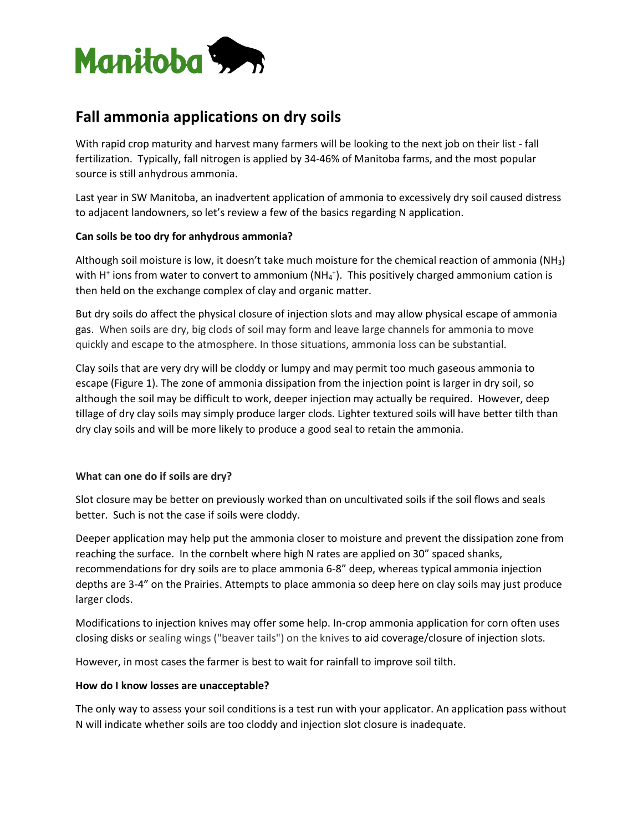

# **Fall ammonia applications on dry soils**

With rapid crop maturity and harvest many farmers will be looking to the next job on their list - fall fertilization. Typically, fall nitrogen is applied by 34-46% of Manitoba farms, and the most popular source is still anhydrous ammonia.

Last year in SW Manitoba, an inadvertent application of ammonia to excessively dry soil caused distress to adjacent landowners, so let's review a few of the basics regarding N application.

## **Can soils be too dry for anhydrous ammonia?**

Although soil moisture is low, it doesn't take much moisture for the chemical reaction of ammonia (NH3) with H<sup>+</sup> ions from water to convert to ammonium (NH<sub>4</sub><sup>+</sup>). This positively charged ammonium cation is then held on the exchange complex of clay and organic matter.

But dry soils do affect the physical closure of injection slots and may allow physical escape of ammonia gas. When soils are dry, big clods of soil may form and leave large channels for ammonia to move quickly and escape to the atmosphere. In those situations, ammonia loss can be substantial.

Clay soils that are very dry will be cloddy or lumpy and may permit too much gaseous ammonia to escape (Figure 1). The zone of ammonia dissipation from the injection point is larger in dry soil, so although the soil may be difficult to work, deeper injection may actually be required. However, deep tillage of dry clay soils may simply produce larger clods. Lighter textured soils will have better tilth than dry clay soils and will be more likely to produce a good seal to retain the ammonia.

## **What can one do if soils are dry?**

Slot closure may be better on previously worked than on uncultivated soils if the soil flows and seals better. Such is not the case if soils were cloddy.

Deeper application may help put the ammonia closer to moisture and prevent the dissipation zone from reaching the surface. In the cornbelt where high N rates are applied on 30" spaced shanks, recommendations for dry soils are to place ammonia 6-8" deep, whereas typical ammonia injection depths are 3-4" on the Prairies. Attempts to place ammonia so deep here on clay soils may just produce larger clods.

Modifications to injection knives may offer some help. In-crop ammonia application for corn often uses closing disks or sealing wings ("beaver tails") on the knives to aid coverage/closure of injection slots.

However, in most cases the farmer is best to wait for rainfall to improve soil tilth.

## **How do I know losses are unacceptable?**

The only way to assess your soil conditions is a test run with your applicator. An application pass without N will indicate whether soils are too cloddy and injection slot closure is inadequate.